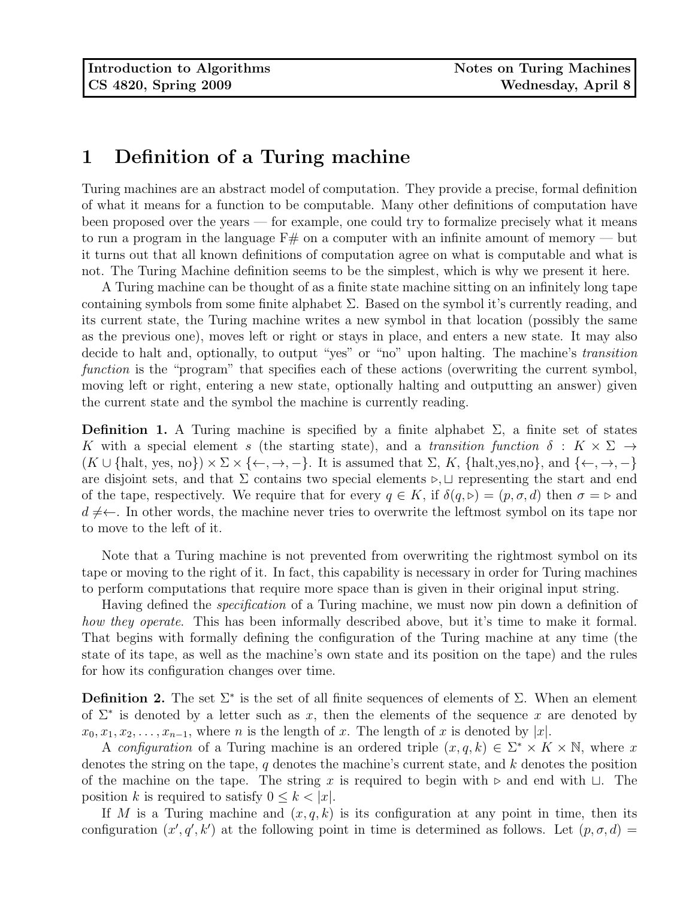## 1 Definition of a Turing machine

Turing machines are an abstract model of computation. They provide a precise, formal definition of what it means for a function to be computable. Many other definitions of computation have been proposed over the years — for example, one could try to formalize precisely what it means to run a program in the language  $F#$  on a computer with an infinite amount of memory — but it turns out that all known definitions of computation agree on what is computable and what is not. The Turing Machine definition seems to be the simplest, which is why we present it here.

A Turing machine can be thought of as a finite state machine sitting on an infinitely long tape containing symbols from some finite alphabet  $\Sigma$ . Based on the symbol it's currently reading, and its current state, the Turing machine writes a new symbol in that location (possibly the same as the previous one), moves left or right or stays in place, and enters a new state. It may also decide to halt and, optionally, to output "yes" or "no" upon halting. The machine's transition function is the "program" that specifies each of these actions (overwriting the current symbol, moving left or right, entering a new state, optionally halting and outputting an answer) given the current state and the symbol the machine is currently reading.

**Definition 1.** A Turing machine is specified by a finite alphabet  $\Sigma$ , a finite set of states K with a special element s (the starting state), and a transition function  $\delta: K \times \Sigma \rightarrow$  $(K \cup \{\text{halt}, \text{yes}, \text{no}\}) \times \Sigma \times \{\leftarrow, \rightarrow, -\}.$  It is assumed that  $\Sigma, K, \{\text{halt}, \text{yes}, \text{no}\}, \text{and } \{\leftarrow, \rightarrow, -\}$ are disjoint sets, and that  $\Sigma$  contains two special elements  $\triangleright, \square$  representing the start and end of the tape, respectively. We require that for every  $q \in K$ , if  $\delta(q, \triangleright) = (p, \sigma, d)$  then  $\sigma = \triangleright$  and  $d \neq$ . In other words, the machine never tries to overwrite the leftmost symbol on its tape nor to move to the left of it.

Note that a Turing machine is not prevented from overwriting the rightmost symbol on its tape or moving to the right of it. In fact, this capability is necessary in order for Turing machines to perform computations that require more space than is given in their original input string.

Having defined the *specification* of a Turing machine, we must now pin down a definition of how they operate. This has been informally described above, but it's time to make it formal. That begins with formally defining the configuration of the Turing machine at any time (the state of its tape, as well as the machine's own state and its position on the tape) and the rules for how its configuration changes over time.

**Definition 2.** The set  $\Sigma^*$  is the set of all finite sequences of elements of  $\Sigma$ . When an element of  $\Sigma^*$  is denoted by a letter such as x, then the elements of the sequence x are denoted by  $x_0, x_1, x_2, \ldots, x_{n-1}$ , where n is the length of x. The length of x is denoted by |x|.

A configuration of a Turing machine is an ordered triple  $(x, q, k) \in \Sigma^* \times K \times \mathbb{N}$ , where x denotes the string on the tape, q denotes the machine's current state, and k denotes the position of the machine on the tape. The string x is required to begin with  $\triangleright$  and end with  $\sqcup$ . The position k is required to satisfy  $0 \leq k < |x|$ .

If M is a Turing machine and  $(x, q, k)$  is its configuration at any point in time, then its configuration  $(x', q', k')$  at the following point in time is determined as follows. Let  $(p, \sigma, d)$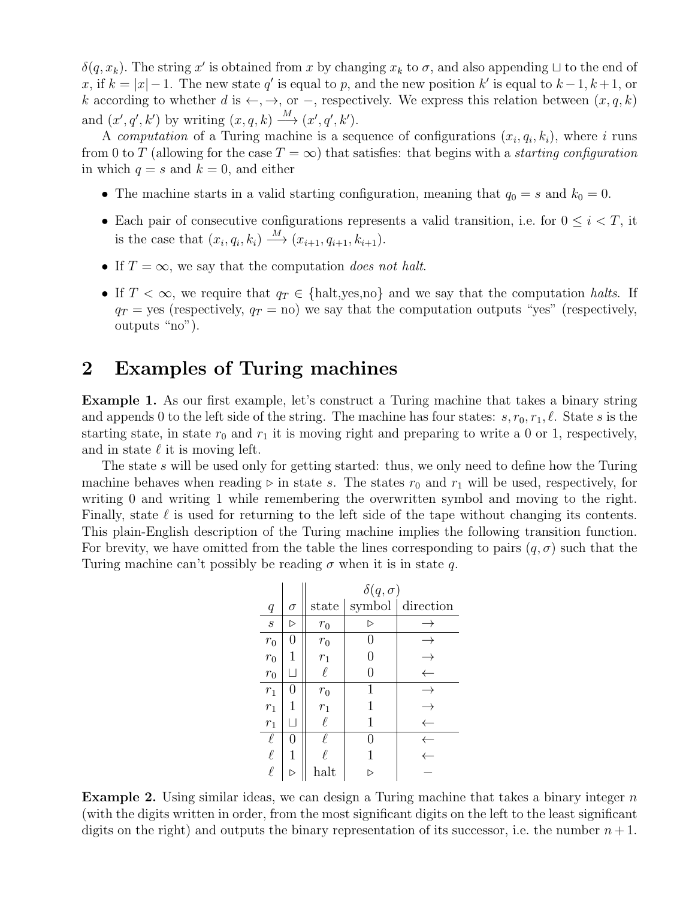$\delta(q, x_k)$ . The string x' is obtained from x by changing  $x_k$  to  $\sigma$ , and also appending  $\sqcup$  to the end of x, if  $k = |x| - 1$ . The new state q' is equal to p, and the new position k' is equal to  $k - 1, k + 1$ , or k according to whether d is  $\leftarrow, \rightarrow,$  or  $-$ , respectively. We express this relation between  $(x, q, k)$ and  $(x', q', k')$  by writing  $(x, q, k) \xrightarrow{M} (x', q', k')$ .

A computation of a Turing machine is a sequence of configurations  $(x_i, q_i, k_i)$ , where i runs from 0 to T (allowing for the case  $T = \infty$ ) that satisfies: that begins with a *starting configuration* in which  $q = s$  and  $k = 0$ , and either

- The machine starts in a valid starting configuration, meaning that  $q_0 = s$  and  $k_0 = 0$ .
- Each pair of consecutive configurations represents a valid transition, i.e. for  $0 \leq i < T$ , it is the case that  $(x_i, q_i, k_i) \xrightarrow{M} (x_{i+1}, q_{i+1}, k_{i+1}).$
- If  $T = \infty$ , we say that the computation does not halt.
- If  $T < \infty$ , we require that  $q_T \in \{\text{halt}, \text{yes}, \text{no}\}\$  and we say that the computation halts. If  $q_T$  = yes (respectively,  $q_T$  = no) we say that the computation outputs "yes" (respectively, outputs "no").

### 2 Examples of Turing machines

Example 1. As our first example, let's construct a Turing machine that takes a binary string and appends 0 to the left side of the string. The machine has four states:  $s, r_0, r_1, \ell$ . State s is the starting state, in state  $r_0$  and  $r_1$  it is moving right and preparing to write a 0 or 1, respectively, and in state  $\ell$  it is moving left.

The state s will be used only for getting started: thus, we only need to define how the Turing machine behaves when reading  $\triangleright$  in state s. The states  $r_0$  and  $r_1$  will be used, respectively, for writing 0 and writing 1 while remembering the overwritten symbol and moving to the right. Finally, state  $\ell$  is used for returning to the left side of the tape without changing its contents. This plain-English description of the Turing machine implies the following transition function. For brevity, we have omitted from the table the lines corresponding to pairs  $(q, \sigma)$  such that the Turing machine can't possibly be reading  $\sigma$  when it is in state q.

|                   |                          | $\delta(q,\sigma)$ |                  |                                        |  |  |
|-------------------|--------------------------|--------------------|------------------|----------------------------------------|--|--|
| q                 | $\sigma$                 |                    |                  | state $\vert$ symbol $\vert$ direction |  |  |
| $\mathcal{S}_{0}$ | $\triangleright$         | $r_{\rm 0}$        | $\triangleright$ |                                        |  |  |
| $r_0$             | $\left( \right)$         | $r_0$              | $\left( \right)$ |                                        |  |  |
| $r_0$             | 1                        | $r_1$              | 0                |                                        |  |  |
| $r_{\rm 0}$       | L                        | ł.                 | 0                |                                        |  |  |
| $r_1$             |                          | $r_{\rm 0}$        | 1                |                                        |  |  |
| $r_1$             |                          | $r_1$              | 1                |                                        |  |  |
| $r_1$             | $\overline{\phantom{a}}$ | $\ell$             | 1                |                                        |  |  |
| $\ell$            | 0                        |                    | 0                |                                        |  |  |
| $\ell$            | 1                        |                    | 1                |                                        |  |  |
| $\ell$            |                          | halt               |                  |                                        |  |  |

**Example 2.** Using similar ideas, we can design a Turing machine that takes a binary integer  $n$ (with the digits written in order, from the most significant digits on the left to the least significant digits on the right) and outputs the binary representation of its successor, i.e. the number  $n+1$ .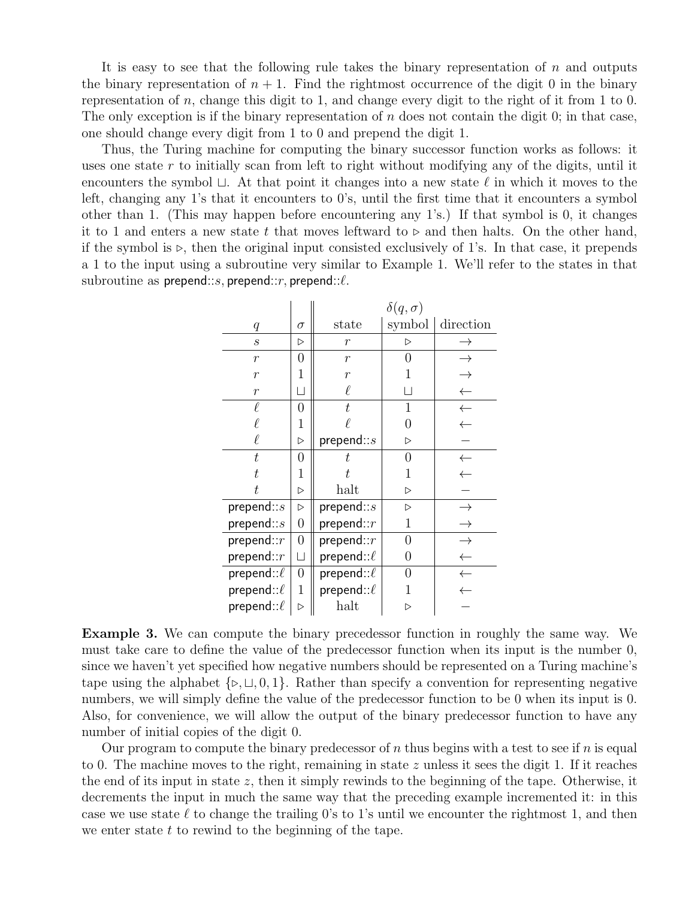It is easy to see that the following rule takes the binary representation of  $n$  and outputs the binary representation of  $n + 1$ . Find the rightmost occurrence of the digit 0 in the binary representation of n, change this digit to 1, and change every digit to the right of it from 1 to 0. The only exception is if the binary representation of  $n$  does not contain the digit 0; in that case, one should change every digit from 1 to 0 and prepend the digit 1.

Thus, the Turing machine for computing the binary successor function works as follows: it uses one state r to initially scan from left to right without modifying any of the digits, until it encounters the symbol  $\sqcup$ . At that point it changes into a new state  $\ell$  in which it moves to the left, changing any 1's that it encounters to 0's, until the first time that it encounters a symbol other than 1. (This may happen before encountering any 1's.) If that symbol is 0, it changes it to 1 and enters a new state t that moves leftward to  $\triangleright$  and then halts. On the other hand, if the symbol is  $\triangleright$ , then the original input consisted exclusively of 1's. In that case, it prepends a 1 to the input using a subroutine very similar to Example 1. We'll refer to the states in that subroutine as prepend::s, prepend:: $r$ , prepend:: $\ell$ .

|                  |                  | $\delta(q,\sigma)$ |                  |              |  |
|------------------|------------------|--------------------|------------------|--------------|--|
| q                | $\sigma$         | state              | symbol           | direction    |  |
| $\boldsymbol{S}$ | ▷                | $\boldsymbol{r}$   | $\triangleright$ |              |  |
| $\overline{r}$   | $\overline{0}$   | $\boldsymbol{r}$   | 0                |              |  |
| $\boldsymbol{r}$ | 1                | $\overline{r}$     | 1                |              |  |
| $\overline{r}$   |                  | $\ell$             | H                |              |  |
| $\ell$           | $\overline{0}$   | t.                 | 1                | $\leftarrow$ |  |
| l                | 1                |                    | 0                | $\leftarrow$ |  |
| $\ell$           | $\triangleright$ | prepend::s         | $\triangleright$ |              |  |
| t.               | 0                | t.                 | 0                | $\leftarrow$ |  |
| t.               | 1                | t,                 | 1                |              |  |
| t.               | $\triangleright$ | halt               | $\triangleright$ |              |  |
| prepend:: $s$    | $\triangleright$ | prepend:: $s$      | $\triangleright$ |              |  |
| prepend:: $s$    | $\boldsymbol{0}$ | prepend:: $r$      | 1                |              |  |
| prepend:: $r$    | $\boldsymbol{0}$ | prepend:: $r$      | 0                |              |  |
| prepend:: $r$    | $\vert \ \vert$  | prepend:: $\ell$   | 0                |              |  |
| prepend:: $\ell$ | $\boldsymbol{0}$ | prepend:: $\ell$   | O                |              |  |
| prepend:: $\ell$ | 1                | prepend:: $\ell$   |                  |              |  |
| prepend:: $\ell$ | D                | halt               |                  |              |  |

Example 3. We can compute the binary precedessor function in roughly the same way. We must take care to define the value of the predecessor function when its input is the number 0, since we haven't yet specified how negative numbers should be represented on a Turing machine's tape using the alphabet  $\{\triangleright, \square, 0, 1\}$ . Rather than specify a convention for representing negative numbers, we will simply define the value of the predecessor function to be 0 when its input is 0. Also, for convenience, we will allow the output of the binary predecessor function to have any number of initial copies of the digit 0.

Our program to compute the binary predecessor of n thus begins with a test to see if n is equal to 0. The machine moves to the right, remaining in state z unless it sees the digit 1. If it reaches the end of its input in state z, then it simply rewinds to the beginning of the tape. Otherwise, it decrements the input in much the same way that the preceding example incremented it: in this case we use state  $\ell$  to change the trailing 0's to 1's until we encounter the rightmost 1, and then we enter state  $t$  to rewind to the beginning of the tape.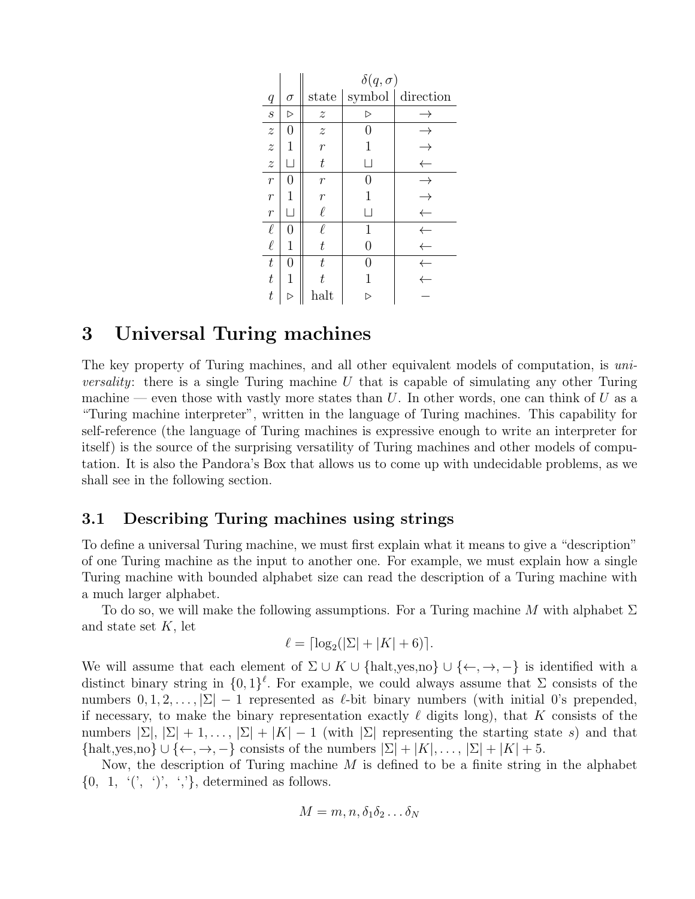|                           |                   | $\delta(q,\sigma)$        |                  |                          |  |  |
|---------------------------|-------------------|---------------------------|------------------|--------------------------|--|--|
| $\boldsymbol{q}$          | $\sigma$          | state                     |                  | symbol $\vert$ direction |  |  |
| $\mathcal{S}_{0}$         | $\triangleright$  | $\boldsymbol{z}$          | $\triangleright$ |                          |  |  |
| $\overline{z}$            | 0                 | $\widetilde{\mathcal{Z}}$ | 0                | →                        |  |  |
| $\overline{z}$            | 1                 | $\overline{r}$            | 1                |                          |  |  |
| $\widetilde{\mathcal{Z}}$ | $\vert \ \ \vert$ | $\boldsymbol{t}$          | $\mathsf{L}$     |                          |  |  |
| $\overline{r}$            | 0                 | $\boldsymbol{r}$          | 0                | $\rightarrow$            |  |  |
| $\mathcal{r}$             | 1                 | $\overline{r}$            | 1                |                          |  |  |
| $\boldsymbol{r}$          | $\vert \ \ \vert$ | $\ell$                    | $\mathsf{L}$     |                          |  |  |
| $\ell$                    | $\mathcal{O}$     | ł.                        | 1                |                          |  |  |
| $\ell$                    | 1                 | $\boldsymbol{t}$          | $\theta$         |                          |  |  |
| $\boldsymbol{t}$          | 0                 | $\boldsymbol{t}$          | O                |                          |  |  |
| $t\,$                     | 1                 | t                         | 1                |                          |  |  |
| $\, t \,$                 |                   | halt                      |                  |                          |  |  |

## 3 Universal Turing machines

The key property of Turing machines, and all other equivalent models of computation, is uni*versality*: there is a single Turing machine U that is capable of simulating any other Turing machine — even those with vastly more states than U. In other words, one can think of U as a "Turing machine interpreter", written in the language of Turing machines. This capability for self-reference (the language of Turing machines is expressive enough to write an interpreter for itself) is the source of the surprising versatility of Turing machines and other models of computation. It is also the Pandora's Box that allows us to come up with undecidable problems, as we shall see in the following section.

### 3.1 Describing Turing machines using strings

To define a universal Turing machine, we must first explain what it means to give a "description" of one Turing machine as the input to another one. For example, we must explain how a single Turing machine with bounded alphabet size can read the description of a Turing machine with a much larger alphabet.

To do so, we will make the following assumptions. For a Turing machine M with alphabet  $\Sigma$ and state set  $K$ , let

$$
\ell = \lceil \log_2(|\Sigma| + |K| + 6) \rceil.
$$

We will assume that each element of  $\Sigma \cup K \cup \{\text{halt}, \text{yes}, \text{no}\} \cup \{\leftarrow, \rightarrow, -\}$  is identified with a distinct binary string in  $\{0,1\}^{\ell}$ . For example, we could always assume that  $\Sigma$  consists of the numbers  $[0, 1, 2, \ldots, |\Sigma| - 1$  represented as  $\ell$ -bit binary numbers (with initial 0's prepended, if necessary, to make the binary representation exactly  $\ell$  digits long), that K consists of the numbers  $|\Sigma|, |\Sigma| + 1, \ldots, |\Sigma| + |K| - 1$  (with  $|\Sigma|$  representing the starting state s) and that  ${\text{half},\text{yes},\text{no}} \cup {\leftarrow, \rightarrow, -}$  consists of the numbers  $|\Sigma| + |K|, \ldots, |\Sigma| + |K| + 5$ .

Now, the description of Turing machine  $M$  is defined to be a finite string in the alphabet  $\{0, 1, (7, 9), (7, 7)\}$ , determined as follows.

$$
M=m,n,\delta_1\delta_2\ldots\delta_N
$$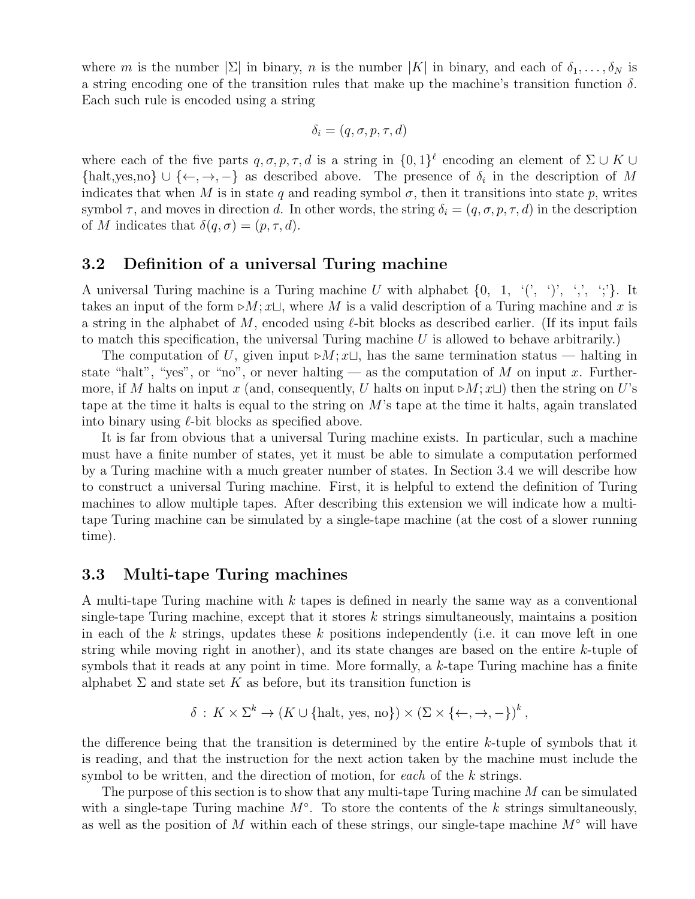where m is the number  $|\Sigma|$  in binary, n is the number  $|K|$  in binary, and each of  $\delta_1, \ldots, \delta_N$  is a string encoding one of the transition rules that make up the machine's transition function  $\delta$ . Each such rule is encoded using a string

$$
\delta_i = (q, \sigma, p, \tau, d)
$$

where each of the five parts  $q, \sigma, p, \tau, d$  is a string in  $\{0, 1\}^{\ell}$  encoding an element of  $\Sigma \cup K \cup$ {halt,yes,no}  $\cup \{\leftarrow, \rightarrow, -\}$  as described above. The presence of  $\delta_i$  in the description of M indicates that when M is in state q and reading symbol  $\sigma$ , then it transitions into state p, writes symbol  $\tau$ , and moves in direction d. In other words, the string  $\delta_i = (q, \sigma, p, \tau, d)$  in the description of M indicates that  $\delta(q, \sigma) = (p, \tau, d)$ .

### 3.2 Definition of a universal Turing machine

A universal Turing machine is a Turing machine U with alphabet  $\{0, 1, \langle', \cdot \rangle, \langle', \cdot \rangle\}$ . It takes an input of the form  $\triangleright M; x \sqcup$ , where M is a valid description of a Turing machine and x is a string in the alphabet of M, encoded using  $\ell$ -bit blocks as described earlier. (If its input fails to match this specification, the universal Turing machine  $U$  is allowed to behave arbitrarily.)

The computation of U, given input  $\triangleright M$ ;  $x \sqcup$ , has the same termination status — halting in state "halt", "yes", or "no", or never halting — as the computation of M on input x. Furthermore, if M halts on input x (and, consequently, U halts on input  $\triangleright M$ ;  $x\sqcup$ ) then the string on U's tape at the time it halts is equal to the string on M's tape at the time it halts, again translated into binary using  $\ell$ -bit blocks as specified above.

It is far from obvious that a universal Turing machine exists. In particular, such a machine must have a finite number of states, yet it must be able to simulate a computation performed by a Turing machine with a much greater number of states. In Section 3.4 we will describe how to construct a universal Turing machine. First, it is helpful to extend the definition of Turing machines to allow multiple tapes. After describing this extension we will indicate how a multitape Turing machine can be simulated by a single-tape machine (at the cost of a slower running time).

### 3.3 Multi-tape Turing machines

A multi-tape Turing machine with k tapes is defined in nearly the same way as a conventional single-tape Turing machine, except that it stores  $k$  strings simultaneously, maintains a position in each of the k strings, updates these k positions independently (i.e. it can move left in one string while moving right in another), and its state changes are based on the entire  $k$ -tuple of symbols that it reads at any point in time. More formally, a  $k$ -tape Turing machine has a finite alphabet  $\Sigma$  and state set K as before, but its transition function is

$$
\delta: K \times \Sigma^k \to (K \cup \{\text{halt}, \text{yes}, \text{no}\}) \times (\Sigma \times \{\leftarrow, \rightarrow, -\})^k,
$$

the difference being that the transition is determined by the entire  $k$ -tuple of symbols that it is reading, and that the instruction for the next action taken by the machine must include the symbol to be written, and the direction of motion, for each of the k strings.

The purpose of this section is to show that any multi-tape Turing machine M can be simulated with a single-tape Turing machine  $M^{\circ}$ . To store the contents of the k strings simultaneously, as well as the position of M within each of these strings, our single-tape machine  $M^{\circ}$  will have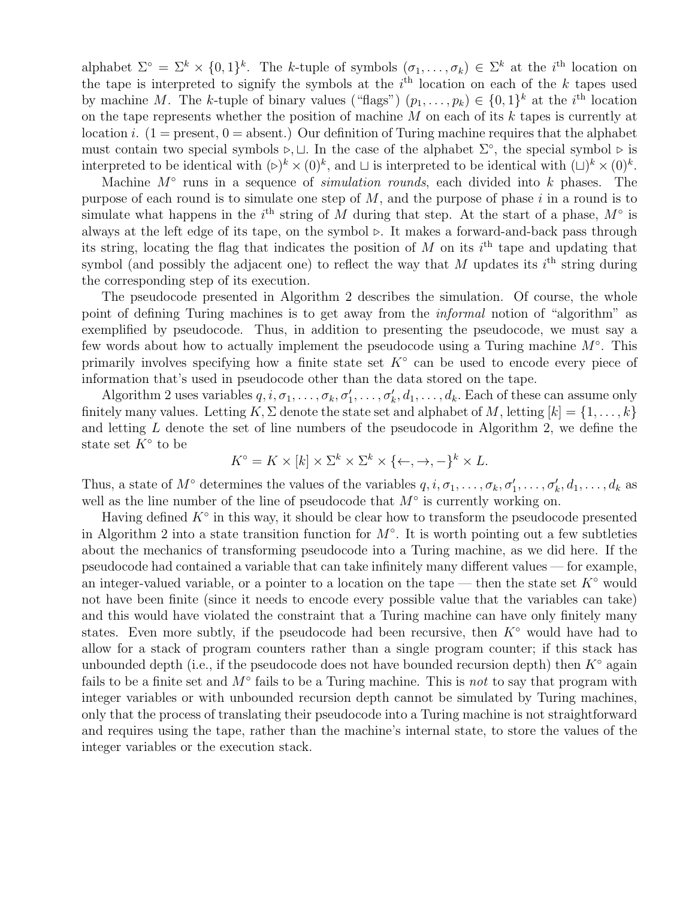alphabet  $\Sigma^{\circ} = \Sigma^k \times \{0,1\}^k$ . The k-tuple of symbols  $(\sigma_1,\ldots,\sigma_k) \in \Sigma^k$  at the *i*<sup>th</sup> location on the tape is interpreted to signify the symbols at the  $i<sup>th</sup>$  location on each of the k tapes used by machine M. The k-tuple of binary values ("flags")  $(p_1, \ldots, p_k) \in \{0,1\}^k$  at the i<sup>th</sup> location on the tape represents whether the position of machine  $M$  on each of its  $k$  tapes is currently at location i. (1 = present, 0 = absent.) Our definition of Turing machine requires that the alphabet must contain two special symbols  $\triangleright, \sqcup$ . In the case of the alphabet  $\Sigma^{\circ}$ , the special symbol  $\triangleright$  is interpreted to be identical with  $(\triangleright)^k \times (0)^k$ , and  $\sqcup$  is interpreted to be identical with  $(\sqcup)^k \times (0)^k$ .

Machine  $M^{\circ}$  runs in a sequence of *simulation rounds*, each divided into k phases. The purpose of each round is to simulate one step of  $M$ , and the purpose of phase i in a round is to simulate what happens in the  $i<sup>th</sup>$  string of M during that step. At the start of a phase,  $M<sup>°</sup>$  is always at the left edge of its tape, on the symbol  $\triangleright$ . It makes a forward-and-back pass through its string, locating the flag that indicates the position of  $M$  on its  $i<sup>th</sup>$  tape and updating that symbol (and possibly the adjacent one) to reflect the way that M updates its  $i^{\text{th}}$  string during the corresponding step of its execution.

The pseudocode presented in Algorithm 2 describes the simulation. Of course, the whole point of defining Turing machines is to get away from the informal notion of "algorithm" as exemplified by pseudocode. Thus, in addition to presenting the pseudocode, we must say a few words about how to actually implement the pseudocode using a Turing machine  $M^{\circ}$ . This primarily involves specifying how a finite state set  $K^{\circ}$  can be used to encode every piece of information that's used in pseudocode other than the data stored on the tape.

Algorithm 2 uses variables  $q, i, \sigma_1, \ldots, \sigma_k, \sigma'_1, \ldots, \sigma'_k, d_1, \ldots, d_k$ . Each of these can assume only finitely many values. Letting  $K, \Sigma$  denote the state set and alphabet of M, letting  $[k] = \{1, \ldots, k\}$ and letting L denote the set of line numbers of the pseudocode in Algorithm 2, we define the state set  $K^{\circ}$  to be

$$
K^{\circ} = K \times [k] \times \Sigma^{k} \times \Sigma^{k} \times \{\leftarrow, \rightarrow, -\}^{k} \times L.
$$

Thus, a state of  $M^{\circ}$  determines the values of the variables  $q, i, \sigma_1, \ldots, \sigma_k, \sigma'_1, \ldots, \sigma'_k, d_1, \ldots, d_k$  as well as the line number of the line of pseudocode that  $M^{\circ}$  is currently working on.

Having defined  $K^{\circ}$  in this way, it should be clear how to transform the pseudocode presented in Algorithm 2 into a state transition function for  $M^{\circ}$ . It is worth pointing out a few subtleties about the mechanics of transforming pseudocode into a Turing machine, as we did here. If the pseudocode had contained a variable that can take infinitely many different values — for example, an integer-valued variable, or a pointer to a location on the tape — then the state set  $K^{\circ}$  would not have been finite (since it needs to encode every possible value that the variables can take) and this would have violated the constraint that a Turing machine can have only finitely many states. Even more subtly, if the pseudocode had been recursive, then  $K^{\circ}$  would have had to allow for a stack of program counters rather than a single program counter; if this stack has unbounded depth (i.e., if the pseudocode does not have bounded recursion depth) then  $K^{\circ}$  again fails to be a finite set and  $M^{\circ}$  fails to be a Turing machine. This is not to say that program with integer variables or with unbounded recursion depth cannot be simulated by Turing machines, only that the process of translating their pseudocode into a Turing machine is not straightforward and requires using the tape, rather than the machine's internal state, to store the values of the integer variables or the execution stack.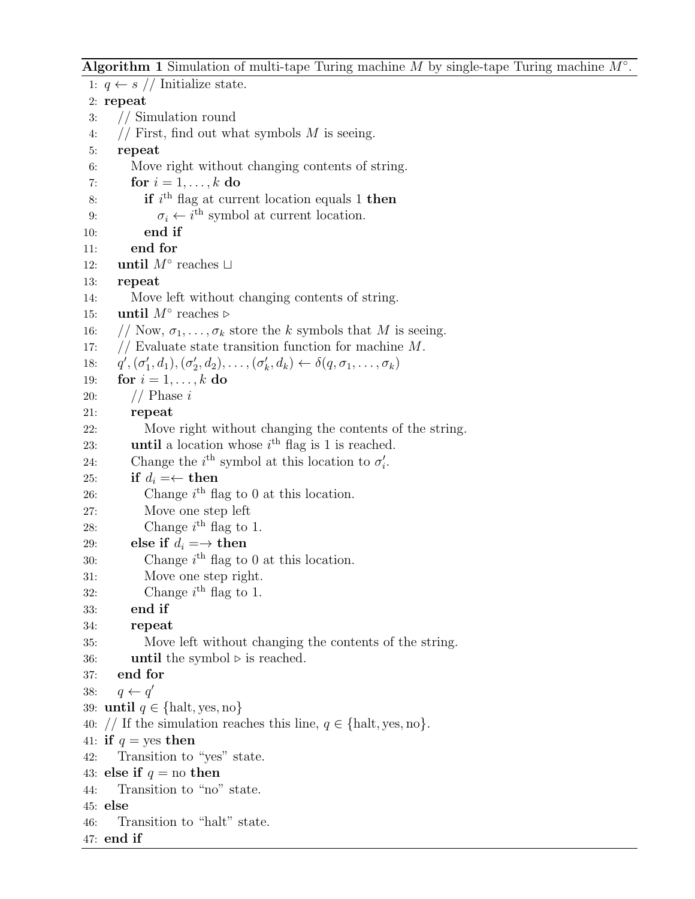Algorithm 1 Simulation of multi-tape Turing machine  $M$  by single-tape Turing machine  $M^\circ$ .

1:  $q \leftarrow s$  // Initialize state. 2: repeat 3: // Simulation round 4:  $//$  First, find out what symbols M is seeing. 5: repeat 6: Move right without changing contents of string. 7: for  $i = 1, \ldots, k$  do 8: **if**  $i^{\text{th}}$  flag at current location equals 1 **then** 9:  $\sigma_i \leftarrow i^{\text{th}}$  symbol at current location. 10: end if 11: end for 12: **until**  $M^\circ$  reaches ⊔ 13: repeat 14: Move left without changing contents of string. 15: **until**  $M^\circ$  reaches ⊳ 16: // Now,  $\sigma_1, \ldots, \sigma_k$  store the k symbols that M is seeing. 17:  $//$  Evaluate state transition function for machine M.  $18:$  $\mathcal{O}'$ ,  $(\sigma'_1, d_1), (\sigma'_2, d_2), \ldots, (\sigma'_k, d_k) \leftarrow \delta(q, \sigma_1, \ldots, \sigma_k)$ 19: for  $i = 1, \ldots, k$  do 20: // Phase i 21: repeat 22: Move right without changing the contents of the string. 23: **until** a location whose  $i<sup>th</sup>$  flag is 1 is reached. 24: Change the  $i^{\text{th}}$  symbol at this location to  $\sigma_i'$ . 25: if  $d_i = \leftarrow$  then 26: Change  $i^{\text{th}}$  flag to 0 at this location. 27: Move one step left 28: Change  $i^{\text{th}}$  flag to 1. 29: else if  $d_i = \rightarrow$  then 30: Change  $i^{\text{th}}$  flag to 0 at this location. 31: Move one step right. 32: Change  $i^{\text{th}}$  flag to 1. 33: end if 34: repeat 35: Move left without changing the contents of the string. 36: **until** the symbol  $\triangleright$  is reached. 37: end for 38:  $q \leftarrow q'$ 39: until  $q \in \{\text{halt}, \text{yes}, \text{no}\}\$ 40: // If the simulation reaches this line,  $q \in \{\text{halt}, \text{yes}, \text{no}\}.$ 41: if  $q = \text{yes}$  then 42: Transition to "yes" state. 43: else if  $q =$  no then 44: Transition to "no" state. 45: else 46: Transition to "halt" state. 47: end if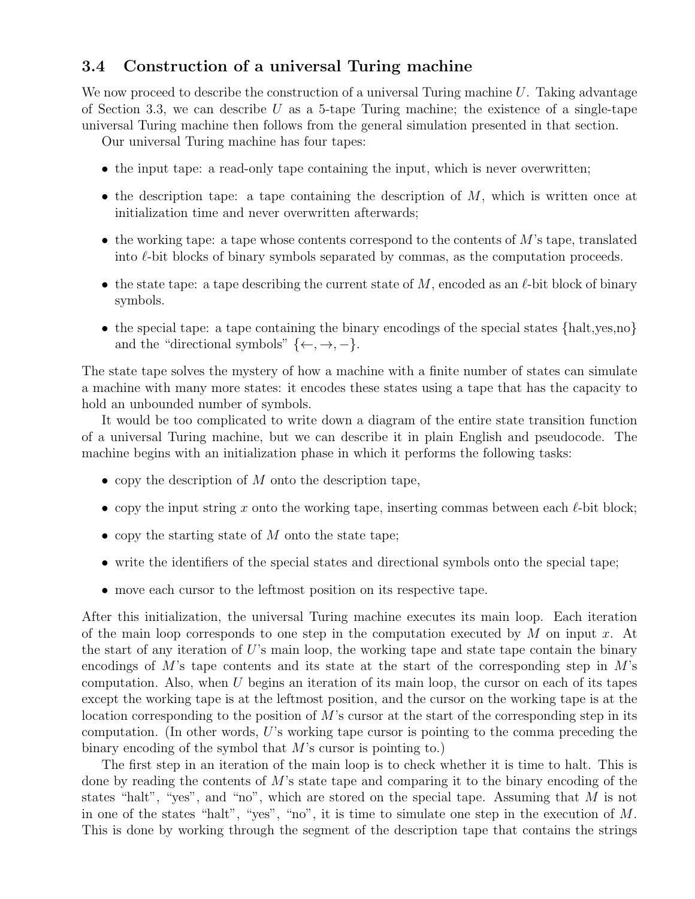### 3.4 Construction of a universal Turing machine

We now proceed to describe the construction of a universal Turing machine  $U$ . Taking advantage of Section 3.3, we can describe U as a 5-tape Turing machine; the existence of a single-tape universal Turing machine then follows from the general simulation presented in that section.

Our universal Turing machine has four tapes:

- the input tape: a read-only tape containing the input, which is never overwritten;
- the description tape: a tape containing the description of  $M$ , which is written once at initialization time and never overwritten afterwards;
- the working tape: a tape whose contents correspond to the contents of  $M$ 's tape, translated into  $\ell$ -bit blocks of binary symbols separated by commas, as the computation proceeds.
- the state tape: a tape describing the current state of M, encoded as an  $\ell$ -bit block of binary symbols.
- the special tape: a tape containing the binary encodings of the special states {halt,yes,no} and the "directional symbols"  $\{\leftarrow, \rightarrow, -\}.$

The state tape solves the mystery of how a machine with a finite number of states can simulate a machine with many more states: it encodes these states using a tape that has the capacity to hold an unbounded number of symbols.

It would be too complicated to write down a diagram of the entire state transition function of a universal Turing machine, but we can describe it in plain English and pseudocode. The machine begins with an initialization phase in which it performs the following tasks:

- copy the description of  $M$  onto the description tape,
- copy the input string x onto the working tape, inserting commas between each  $\ell$ -bit block;
- copy the starting state of  $M$  onto the state tape;
- write the identifiers of the special states and directional symbols onto the special tape;
- move each cursor to the leftmost position on its respective tape.

After this initialization, the universal Turing machine executes its main loop. Each iteration of the main loop corresponds to one step in the computation executed by  $M$  on input  $x$ . At the start of any iteration of  $U$ 's main loop, the working tape and state tape contain the binary encodings of M's tape contents and its state at the start of the corresponding step in  $M$ 's computation. Also, when  $U$  begins an iteration of its main loop, the cursor on each of its tapes except the working tape is at the leftmost position, and the cursor on the working tape is at the location corresponding to the position of M's cursor at the start of the corresponding step in its computation. (In other words,  $U$ 's working tape cursor is pointing to the comma preceding the binary encoding of the symbol that M's cursor is pointing to.)

The first step in an iteration of the main loop is to check whether it is time to halt. This is done by reading the contents of  $M$ 's state tape and comparing it to the binary encoding of the states "halt", "yes", and "no", which are stored on the special tape. Assuming that M is not in one of the states "halt", "yes", "no", it is time to simulate one step in the execution of M. This is done by working through the segment of the description tape that contains the strings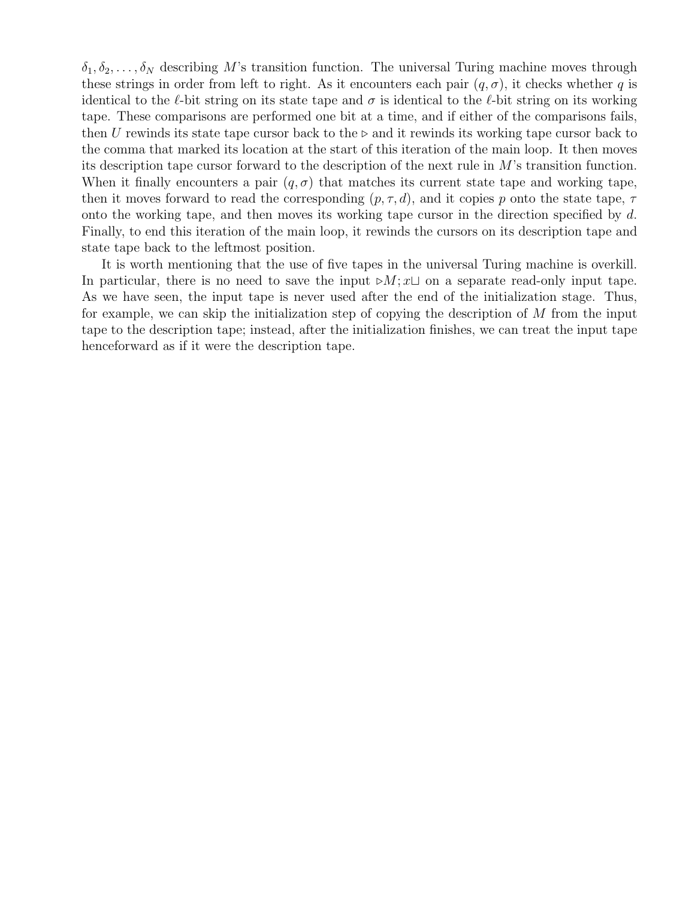$\delta_1, \delta_2, \ldots, \delta_N$  describing M's transition function. The universal Turing machine moves through these strings in order from left to right. As it encounters each pair  $(q, \sigma)$ , it checks whether q is identical to the  $\ell$ -bit string on its state tape and  $\sigma$  is identical to the  $\ell$ -bit string on its working tape. These comparisons are performed one bit at a time, and if either of the comparisons fails, then U rewinds its state tape cursor back to the  $\triangleright$  and it rewinds its working tape cursor back to the comma that marked its location at the start of this iteration of the main loop. It then moves its description tape cursor forward to the description of the next rule in M's transition function. When it finally encounters a pair  $(q, \sigma)$  that matches its current state tape and working tape, then it moves forward to read the corresponding  $(p, \tau, d)$ , and it copies p onto the state tape,  $\tau$ onto the working tape, and then moves its working tape cursor in the direction specified by d. Finally, to end this iteration of the main loop, it rewinds the cursors on its description tape and state tape back to the leftmost position.

It is worth mentioning that the use of five tapes in the universal Turing machine is overkill. In particular, there is no need to save the input  $\triangleright M$ ;  $x \sqcup$  on a separate read-only input tape. As we have seen, the input tape is never used after the end of the initialization stage. Thus, for example, we can skip the initialization step of copying the description of  $M$  from the input tape to the description tape; instead, after the initialization finishes, we can treat the input tape henceforward as if it were the description tape.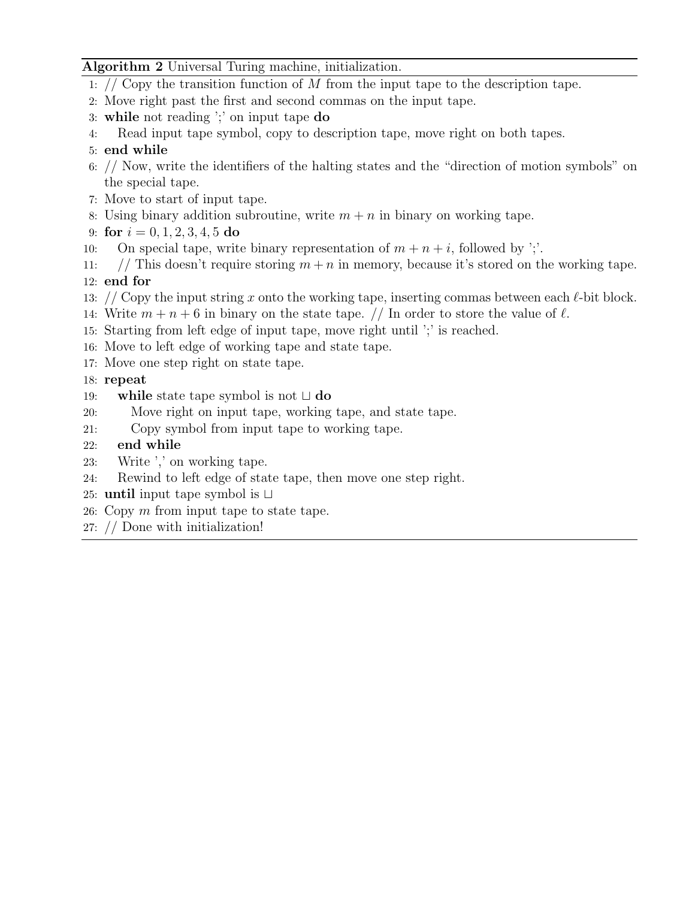### Algorithm 2 Universal Turing machine, initialization.

- 1: // Copy the transition function of  $M$  from the input tape to the description tape.
- 2: Move right past the first and second commas on the input tape.
- 3: while not reading ';' on input tape do
- 4: Read input tape symbol, copy to description tape, move right on both tapes.
- 5: end while
- 6: // Now, write the identifiers of the halting states and the "direction of motion symbols" on the special tape.
- 7: Move to start of input tape.
- 8: Using binary addition subroutine, write  $m + n$  in binary on working tape.
- 9: for  $i = 0, 1, 2, 3, 4, 5$  do
- 10: On special tape, write binary representation of  $m + n + i$ , followed by ';'.
- 11: // This doesn't require storing  $m + n$  in memory, because it's stored on the working tape. 12: end for
- 13: // Copy the input string x onto the working tape, inserting commas between each  $\ell$ -bit block.
- 14: Write  $m + n + 6$  in binary on the state tape. // In order to store the value of  $\ell$ .
- 15: Starting from left edge of input tape, move right until ';' is reached.
- 16: Move to left edge of working tape and state tape.
- 17: Move one step right on state tape.
- 18: repeat
- 19: while state tape symbol is not  $\sqcup$  do
- 20: Move right on input tape, working tape, and state tape.
- 21: Copy symbol from input tape to working tape.
- 22: end while
- 23: Write ',' on working tape.
- 24: Rewind to left edge of state tape, then move one step right.
- 25: **until** input tape symbol is  $\Box$
- 26: Copy m from input tape to state tape.
- 27: // Done with initialization!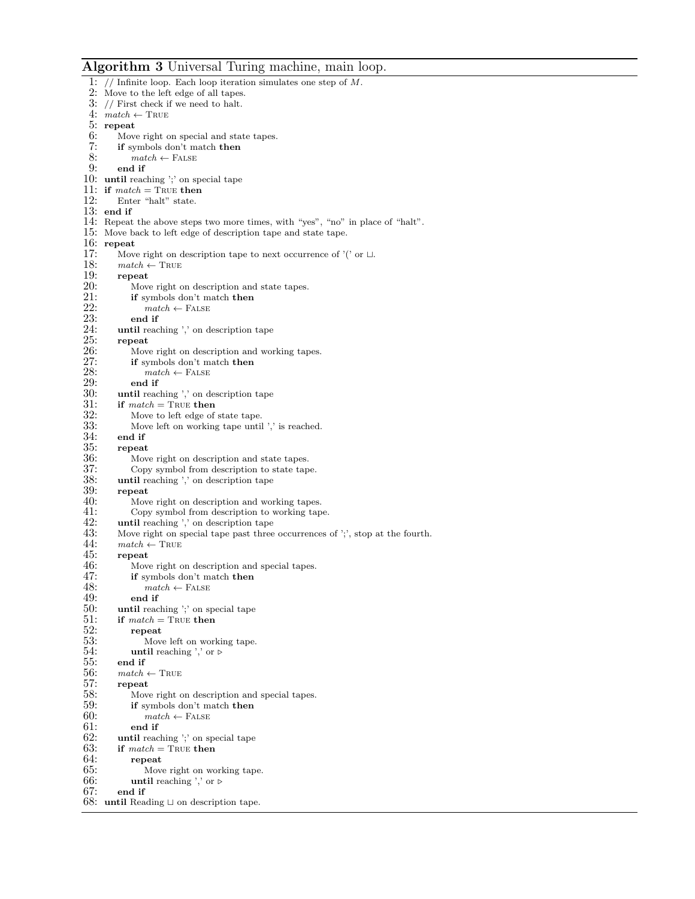#### Algorithm 3 Universal Turing machine, main loop.

1:  $//$  Infinite loop. Each loop iteration simulates one step of  $M$ . 2: Move to the left edge of all tapes. 3: // First check if we need to halt. 4:  $match \leftarrow \text{TRUE}$ 5: repeat<br>6: Move 6: Move right on special and state tapes.<br>7: **if** symbols don't match **then** 7: if symbols don't match then<br>8:  $match \leftarrow$  FALSE 8:  $match \leftarrow$  FALSE<br>9: end if end if 10: until reaching ';' on special tape 11: if  $match = \text{TRUE}$  then<br>12: Enter "halt" state. Enter "halt" state. 13: end if 14: Repeat the above steps two more times, with "yes", "no" in place of "halt". 15: Move back to left edge of description tape and state tape. 16:  $repeat$ <br>17:  $Move$ 17: Move right on description tape to next occurrence of '(' or  $\Box$  18:  $match \leftarrow \text{TRUE}$ 18:  $match \leftarrow \text{TRUE}$ <br>19: repeat 19:  $\begin{array}{cc} \text{repeat} \\ \text{20:} \end{array}$  Move 20: Move right on description and state tapes.<br>  $21$ : **if** symbols don't match **then** 21: **if** symbols don't match **then**<br>22:  $match \leftarrow$  FALSE 22:  $match \leftarrow \text{FALSE}$ <br>23: end if  $23:$  end if  $24:$  until read 24: until reaching ',' on description tape<br>25: repeat  $25:$  repeat<br> $26:$  Move 26: Move right on description and working tapes.<br>27: **if** symbols don't match **then** 27: **if** symbols don't match **then**<br>28:  $match \leftarrow$  FALSE 28:  $match \leftarrow$  FALSE<br>29: end if 29: end if<br>30: until reac 30: until reaching ',' on description tape<br>31: if  $match = \text{TRUE}$  then 31: if  $match = \text{TRUE}$  then 32: Move to left edge of 32: Move to left edge of state tape.<br>33: Move left on working tape until 33: Move left on working tape until ',' is reached.<br>34: end if  $34:$  end if<br> $35:$  repeat 35: repeat<br>36: Mov 36: Move right on description and state tapes.<br>37: Copy symbol from description to state tap 37: Copy symbol from description to state tape.<br>38: **until** reaching ',' on description tape 38: until reaching ',' on description tape 39: 39: repeat<br>40: Mov 40: Move right on description and working tapes.<br>41: Copy symbol from description to working tap 41: Copy symbol from description to working tape.<br>42: **until** reaching  $\frac{1}{2}$  on description tape. 42: **until** reaching  $\cdot$ , on description tape 43: Move right on special tape past three 43: Move right on special tape past three occurrences of ';', stop at the fourth.<br>44:  $match \leftarrow \text{TRUE}$ 44:  $match \leftarrow \text{TRUE}$ <br>45: **repeat** repeat 46: Move right on description and special tapes.<br>47: **if** symbols don't match **then** 47: **if** symbols don't match **then**<br>48:  $match \leftarrow$  FALSE 48:  $match \leftarrow \text{FALSE}$ <br>49: end if  $49:$  end if  $50:$  until read until reaching ';' on special tape 51: if  $match = \text{TRUE}$  then<br>52: repeat 52: repeat<br>53: Mov 53: Move left on working tape.<br>54: **until** reaching ',' or  $\rhd$ 54: until reaching ',' or  $\triangleright$ <br>55: end if end if 56:  $match \leftarrow \text{TRUE}$ <br>57: repeat 57: repeat<br>58: Move 58: Move right on description and special tapes.<br>59: **if** symbols don't match **then** 59: **if** symbols don't match then 60:  $match \leftarrow$  FALSE 60:  $match \leftarrow \text{FALSE}$ <br>61: end if  $61:$  end if  $62:$  until read 62: until reaching ';' on special tape<br>63: if  $match = \text{TRUE}$  then if  $match = \text{TRUE}$  then  $64:$  repeat<br> $65:$  Mov 65: Move right on working tape.<br>66: **until** reaching ',' or  $\rhd$ 66: until reaching ',' or  $\triangleright$  67: end if end if 68: until Reading  $\sqcup$  on description tape.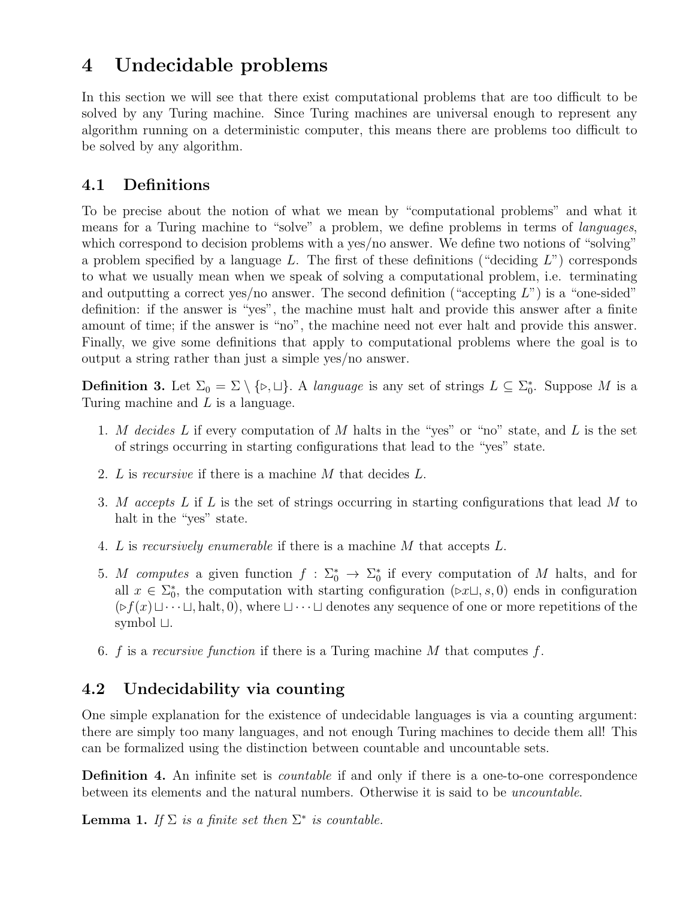# 4 Undecidable problems

In this section we will see that there exist computational problems that are too difficult to be solved by any Turing machine. Since Turing machines are universal enough to represent any algorithm running on a deterministic computer, this means there are problems too difficult to be solved by any algorithm.

## 4.1 Definitions

To be precise about the notion of what we mean by "computational problems" and what it means for a Turing machine to "solve" a problem, we define problems in terms of languages, which correspond to decision problems with a yes/no answer. We define two notions of "solving" a problem specified by a language L. The first of these definitions ("deciding  $L$ ") corresponds to what we usually mean when we speak of solving a computational problem, i.e. terminating and outputting a correct yes/no answer. The second definition ("accepting  $L$ ") is a "one-sided" definition: if the answer is "yes", the machine must halt and provide this answer after a finite amount of time; if the answer is "no", the machine need not ever halt and provide this answer. Finally, we give some definitions that apply to computational problems where the goal is to output a string rather than just a simple yes/no answer.

**Definition 3.** Let  $\Sigma_0 = \Sigma \setminus \{\triangleright, \square\}$ . A language is any set of strings  $L \subseteq \Sigma_0^*$ . Suppose M is a Turing machine and L is a language.

- 1. M decides  $L$  if every computation of  $M$  halts in the "yes" or "no" state, and  $L$  is the set of strings occurring in starting configurations that lead to the "yes" state.
- 2. L is recursive if there is a machine M that decides L.
- 3. M accepts L if L is the set of strings occurring in starting configurations that lead M to halt in the "yes" state.
- 4. L is recursively enumerable if there is a machine M that accepts L.
- 5. M computes a given function  $f : \Sigma_0^* \to \Sigma_0^*$  if every computation of M halts, and for all  $x \in \Sigma_0^*$ , the computation with starting configuration  $(\triangleright x \sqcup, s, 0)$  ends in configuration  $(\triangleright f(x)\sqcup\cdots\sqcup$ , halt, 0), where  $\sqcup\cdots\sqcup$  denotes any sequence of one or more repetitions of the symbol  $\sqcup$ .
- 6. f is a recursive function if there is a Turing machine  $M$  that computes f.

## 4.2 Undecidability via counting

One simple explanation for the existence of undecidable languages is via a counting argument: there are simply too many languages, and not enough Turing machines to decide them all! This can be formalized using the distinction between countable and uncountable sets.

**Definition 4.** An infinite set is *countable* if and only if there is a one-to-one correspondence between its elements and the natural numbers. Otherwise it is said to be uncountable.

**Lemma 1.** If  $\Sigma$  is a finite set then  $\Sigma^*$  is countable.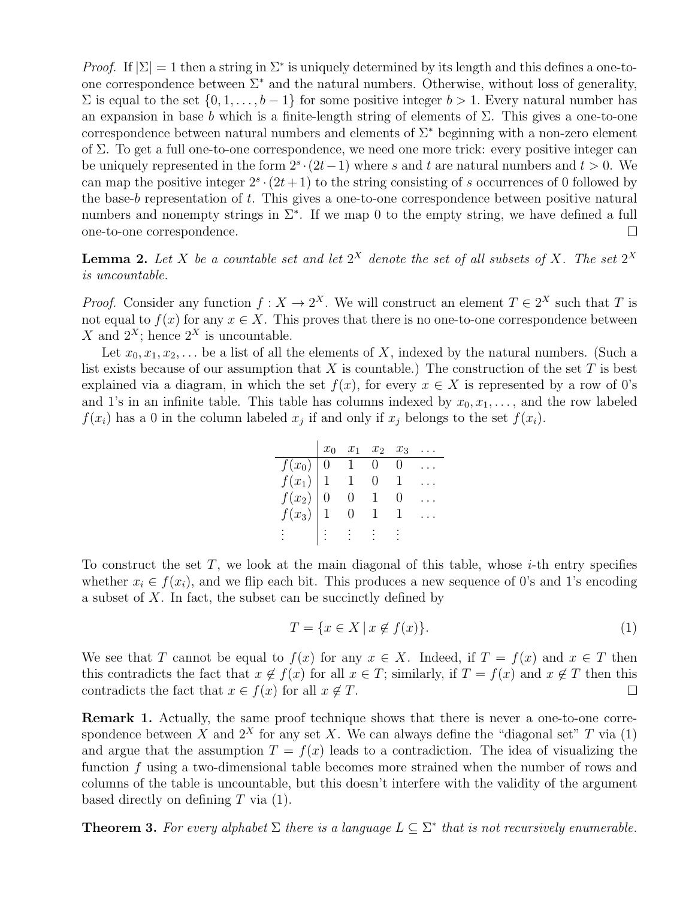*Proof.* If  $|\Sigma| = 1$  then a string in  $\Sigma^*$  is uniquely determined by its length and this defines a one-toone correspondence between  $\Sigma^*$  and the natural numbers. Otherwise, without loss of generality,  $\Sigma$  is equal to the set  $\{0, 1, \ldots, b-1\}$  for some positive integer  $b > 1$ . Every natural number has an expansion in base b which is a finite-length string of elements of  $\Sigma$ . This gives a one-to-one correspondence between natural numbers and elements of  $\Sigma^*$  beginning with a non-zero element of Σ. To get a full one-to-one correspondence, we need one more trick: every positive integer can be uniquely represented in the form  $2<sup>s</sup> \cdot (2t-1)$  where s and t are natural numbers and  $t > 0$ . We can map the positive integer  $2^s \cdot (2t+1)$  to the string consisting of s occurrences of 0 followed by the base-b representation of t. This gives a one-to-one correspondence between positive natural numbers and nonempty strings in  $\Sigma^*$ . If we map 0 to the empty string, we have defined a full one-to-one correspondence.  $\Box$ 

**Lemma 2.** Let X be a countable set and let  $2^X$  denote the set of all subsets of X. The set  $2^X$ is uncountable.

*Proof.* Consider any function  $f: X \to 2^X$ . We will construct an element  $T \in 2^X$  such that T is not equal to  $f(x)$  for any  $x \in X$ . This proves that there is no one-to-one correspondence between X and  $2^X$ ; hence  $2^X$  is uncountable.

Let  $x_0, x_1, x_2, \ldots$  be a list of all the elements of X, indexed by the natural numbers. (Such a list exists because of our assumption that  $X$  is countable.) The construction of the set  $T$  is best explained via a diagram, in which the set  $f(x)$ , for every  $x \in X$  is represented by a row of 0's and 1's in an infinite table. This table has columns indexed by  $x_0, x_1, \ldots$ , and the row labeled  $f(x_i)$  has a 0 in the column labeled  $x_j$  if and only if  $x_j$  belongs to the set  $f(x_i)$ .

|                                                 | $x_1$ | $x_2$ | $x_3$ |  |
|-------------------------------------------------|-------|-------|-------|--|
|                                                 |       |       |       |  |
|                                                 |       |       |       |  |
|                                                 |       |       |       |  |
| $\frac{f(x_0)}{f(x_1)}$<br>$f(x_2)$<br>$f(x_3)$ |       |       |       |  |
|                                                 |       |       |       |  |

To construct the set T, we look at the main diagonal of this table, whose  $i$ -th entry specifies whether  $x_i \in f(x_i)$ , and we flip each bit. This produces a new sequence of 0's and 1's encoding a subset of  $X$ . In fact, the subset can be succinctly defined by

$$
T = \{ x \in X \mid x \notin f(x) \}. \tag{1}
$$

We see that T cannot be equal to  $f(x)$  for any  $x \in X$ . Indeed, if  $T = f(x)$  and  $x \in T$  then this contradicts the fact that  $x \notin f(x)$  for all  $x \in T$ ; similarly, if  $T = f(x)$  and  $x \notin T$  then this contradicts the fact that  $x \in f(x)$  for all  $x \notin T$ .  $\Box$ 

Remark 1. Actually, the same proof technique shows that there is never a one-to-one correspondence between X and  $2^X$  for any set X. We can always define the "diagonal set" T via (1) and argue that the assumption  $T = f(x)$  leads to a contradiction. The idea of visualizing the function  $f$  using a two-dimensional table becomes more strained when the number of rows and columns of the table is uncountable, but this doesn't interfere with the validity of the argument based directly on defining  $T$  via  $(1)$ .

**Theorem 3.** For every alphabet  $\Sigma$  there is a language  $L \subseteq \Sigma^*$  that is not recursively enumerable.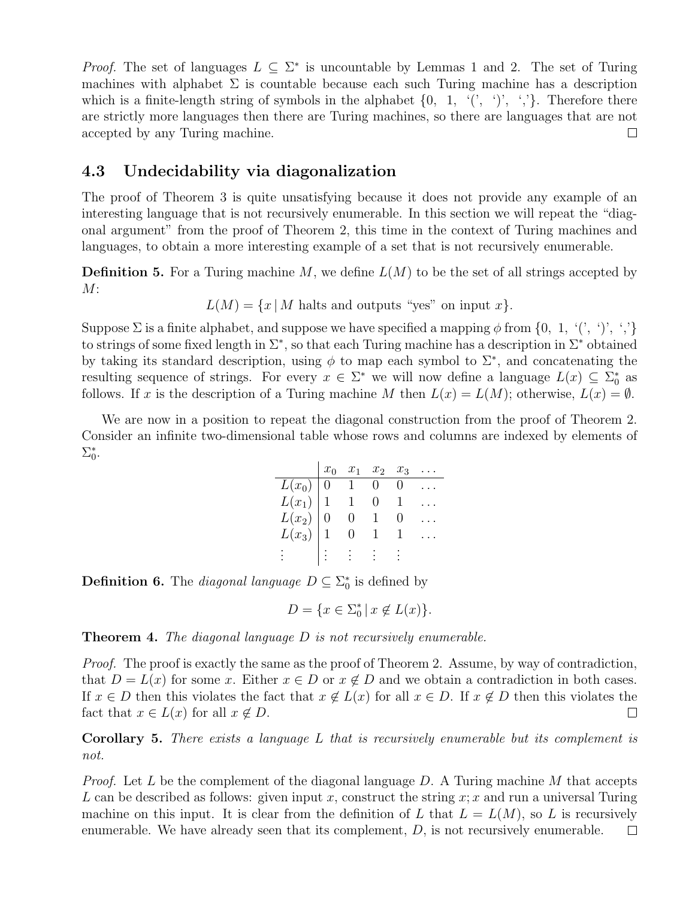*Proof.* The set of languages  $L \subseteq \Sigma^*$  is uncountable by Lemmas 1 and 2. The set of Turing machines with alphabet  $\Sigma$  is countable because each such Turing machine has a description which is a finite-length string of symbols in the alphabet  $\{0, 1, \langle\langle,\rangle\rangle, \langle\langle\rangle\rangle\}$ . Therefore there are strictly more languages then there are Turing machines, so there are languages that are not accepted by any Turing machine.  $\Box$ 

### 4.3 Undecidability via diagonalization

The proof of Theorem 3 is quite unsatisfying because it does not provide any example of an interesting language that is not recursively enumerable. In this section we will repeat the "diagonal argument" from the proof of Theorem 2, this time in the context of Turing machines and languages, to obtain a more interesting example of a set that is not recursively enumerable.

**Definition 5.** For a Turing machine M, we define  $L(M)$  to be the set of all strings accepted by  $M:$ 

 $L(M) = \{x | M \text{ halts and outputs "yes" on input } x\}.$ 

Suppose  $\Sigma$  is a finite alphabet, and suppose we have specified a mapping  $\phi$  from  $\{0, 1, \{\langle}, \{\rangle\}, \{\rangle\}$ to strings of some fixed length in  $\Sigma^*$ , so that each Turing machine has a description in  $\Sigma^*$  obtained by taking its standard description, using  $\phi$  to map each symbol to  $\Sigma^*$ , and concatenating the resulting sequence of strings. For every  $x \in \Sigma^*$  we will now define a language  $L(x) \subseteq \Sigma_0^*$  as follows. If x is the description of a Turing machine M then  $L(x) = L(M)$ ; otherwise,  $L(x) = \emptyset$ .

We are now in a position to repeat the diagonal construction from the proof of Theorem 2. Consider an infinite two-dimensional table whose rows and columns are indexed by elements of  $\Sigma_0^*$ .

|                                              | $x_0$ | $x_1$ | $x_2$ | $x_3$ |  |
|----------------------------------------------|-------|-------|-------|-------|--|
|                                              |       |       |       |       |  |
|                                              |       |       |       |       |  |
|                                              |       |       |       |       |  |
| $L(x_0)$<br>$L(x_1)$<br>$L(x_2)$<br>$L(x_3)$ |       |       |       |       |  |
|                                              |       |       |       |       |  |

**Definition 6.** The *diagonal language*  $D \subseteq \Sigma_0^*$  is defined by

$$
D = \{ x \in \Sigma_0^* \mid x \notin L(x) \}.
$$

**Theorem 4.** The diagonal language  $D$  is not recursively enumerable.

Proof. The proof is exactly the same as the proof of Theorem 2. Assume, by way of contradiction, that  $D = L(x)$  for some x. Either  $x \in D$  or  $x \notin D$  and we obtain a contradiction in both cases. If  $x \in D$  then this violates the fact that  $x \notin L(x)$  for all  $x \in D$ . If  $x \notin D$  then this violates the fact that  $x \in L(x)$  for all  $x \notin D$ .  $\Box$ 

Corollary 5. There exists a language L that is recursively enumerable but its complement is not.

*Proof.* Let L be the complement of the diagonal language D. A Turing machine M that accepts L can be described as follows: given input x, construct the string  $x; x$  and run a universal Turing machine on this input. It is clear from the definition of L that  $L = L(M)$ , so L is recursively enumerable. We have already seen that its complement,  $D$ , is not recursively enumerable.  $\Box$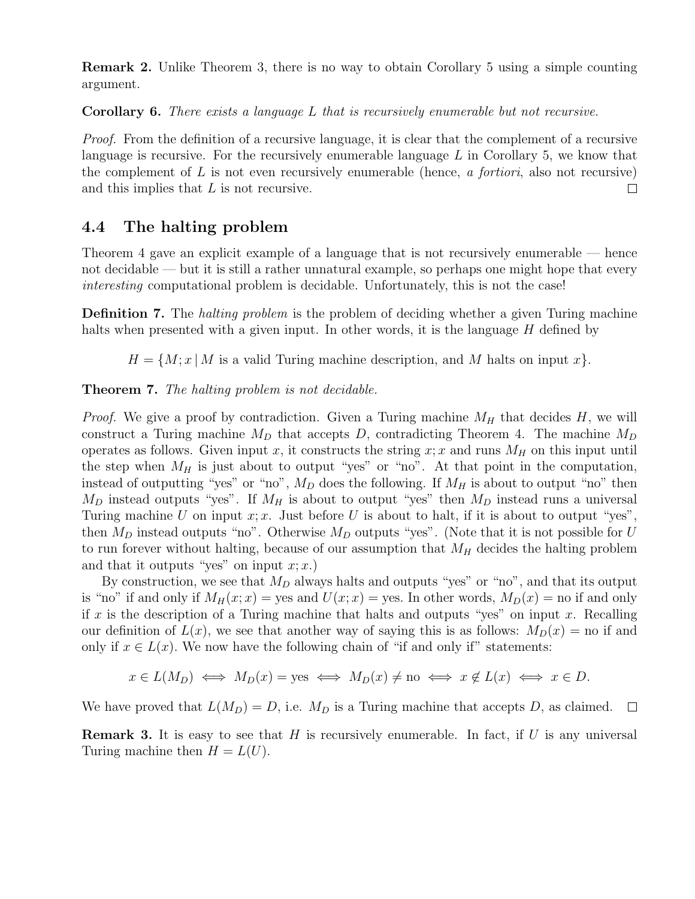Remark 2. Unlike Theorem 3, there is no way to obtain Corollary 5 using a simple counting argument.

Corollary 6. There exists a language L that is recursively enumerable but not recursive.

Proof. From the definition of a recursive language, it is clear that the complement of a recursive language is recursive. For the recursively enumerable language  $L$  in Corollary 5, we know that the complement of  $L$  is not even recursively enumerable (hence, a fortiori, also not recursive) and this implies that L is not recursive.  $\Box$ 

## 4.4 The halting problem

Theorem 4 gave an explicit example of a language that is not recursively enumerable — hence not decidable — but it is still a rather unnatural example, so perhaps one might hope that every interesting computational problem is decidable. Unfortunately, this is not the case!

**Definition 7.** The *halting problem* is the problem of deciding whether a given Turing machine halts when presented with a given input. In other words, it is the language  $H$  defined by

 $H = \{M; x | M$  is a valid Turing machine description, and M halts on input x.

Theorem 7. The halting problem is not decidable.

*Proof.* We give a proof by contradiction. Given a Turing machine  $M_H$  that decides H, we will construct a Turing machine  $M_D$  that accepts D, contradicting Theorem 4. The machine  $M_D$ operates as follows. Given input x, it constructs the string  $x; x$  and runs  $M_H$  on this input until the step when  $M_H$  is just about to output "yes" or "no". At that point in the computation, instead of outputting "yes" or "no",  $M_D$  does the following. If  $M_H$  is about to output "no" then  $M_D$  instead outputs "yes". If  $M_H$  is about to output "yes" then  $M_D$  instead runs a universal Turing machine U on input x; x. Just before U is about to halt, if it is about to output "yes", then  $M_D$  instead outputs "no". Otherwise  $M_D$  outputs "yes". (Note that it is not possible for U to run forever without halting, because of our assumption that  $M_H$  decides the halting problem and that it outputs "yes" on input  $x; x$ .)

By construction, we see that  $M_D$  always halts and outputs "yes" or "no", and that its output is "no" if and only if  $M_H(x; x) =$  yes and  $U(x; x) =$  yes. In other words,  $M_D(x) =$  no if and only if x is the description of a Turing machine that halts and outputs "yes" on input x. Recalling our definition of  $L(x)$ , we see that another way of saying this is as follows:  $M_D(x) =$  no if and only if  $x \in L(x)$ . We now have the following chain of "if and only if" statements:

$$
x \in L(M_D) \iff M_D(x) = \text{yes} \iff M_D(x) \neq \text{no} \iff x \notin L(x) \iff x \in D.
$$

We have proved that  $L(M_D) = D$ , i.e.  $M_D$  is a Turing machine that accepts D, as claimed.  $\square$ 

**Remark 3.** It is easy to see that H is recursively enumerable. In fact, if U is any universal Turing machine then  $H = L(U)$ .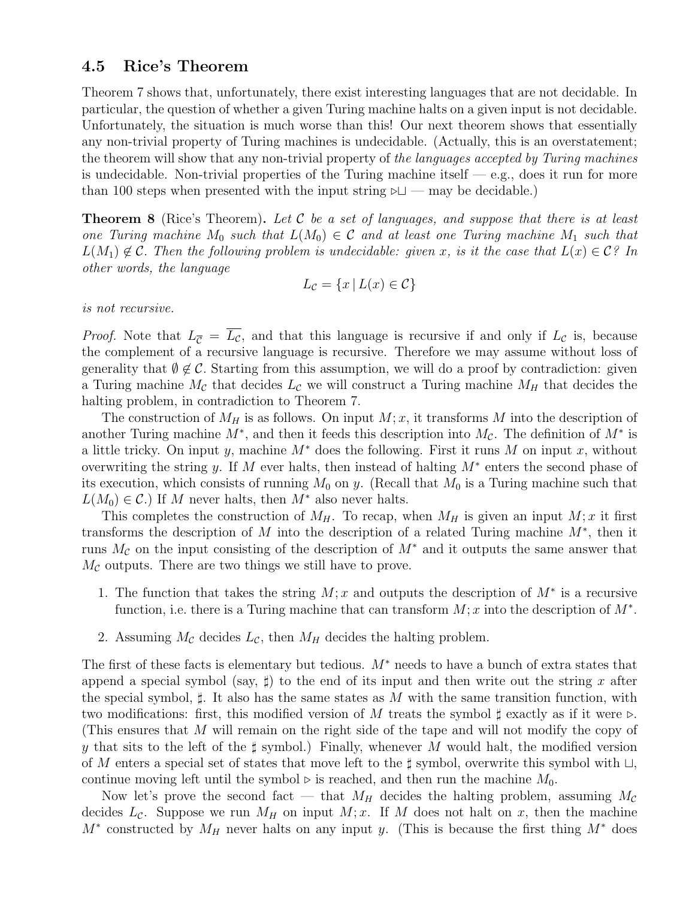### 4.5 Rice's Theorem

Theorem 7 shows that, unfortunately, there exist interesting languages that are not decidable. In particular, the question of whether a given Turing machine halts on a given input is not decidable. Unfortunately, the situation is much worse than this! Our next theorem shows that essentially any non-trivial property of Turing machines is undecidable. (Actually, this is an overstatement; the theorem will show that any non-trivial property of the languages accepted by Turing machines is undecidable. Non-trivial properties of the Turing machine itself  $-$  e.g., does it run for more than 100 steps when presented with the input string  $\triangleright \square$  — may be decidable.)

**Theorem 8** (Rice's Theorem). Let C be a set of languages, and suppose that there is at least one Turing machine  $M_0$  such that  $L(M_0) \in \mathcal{C}$  and at least one Turing machine  $M_1$  such that  $L(M_1) \notin \mathcal{C}$ . Then the following problem is undecidable: given x, is it the case that  $L(x) \in \mathcal{C}$ ? In other words, the language

$$
L_{\mathcal{C}} = \{x \mid L(x) \in \mathcal{C}\}
$$

is not recursive.

*Proof.* Note that  $L_{\overline{C}} = \overline{L_{C}}$ , and that this language is recursive if and only if  $L_{\overline{C}}$  is, because the complement of a recursive language is recursive. Therefore we may assume without loss of generality that  $\emptyset \notin \mathcal{C}$ . Starting from this assumption, we will do a proof by contradiction: given a Turing machine  $M_c$  that decides  $L_c$  we will construct a Turing machine  $M_H$  that decides the halting problem, in contradiction to Theorem 7.

The construction of  $M_H$  is as follows. On input  $M; x$ , it transforms M into the description of another Turing machine  $M^*$ , and then it feeds this description into  $M_c$ . The definition of  $M^*$  is a little tricky. On input y, machine  $M^*$  does the following. First it runs M on input x, without overwriting the string y. If M ever halts, then instead of halting  $M^*$  enters the second phase of its execution, which consists of running  $M_0$  on y. (Recall that  $M_0$  is a Turing machine such that  $L(M_0) \in \mathcal{C}$ .) If M never halts, then  $M^*$  also never halts.

This completes the construction of  $M_H$ . To recap, when  $M_H$  is given an input  $M; x$  it first transforms the description of M into the description of a related Turing machine  $M^*$ , then it runs  $M_c$  on the input consisting of the description of  $M^*$  and it outputs the same answer that  $M_{\mathcal{C}}$  outputs. There are two things we still have to prove.

- 1. The function that takes the string  $M; x$  and outputs the description of  $M^*$  is a recursive function, i.e. there is a Turing machine that can transform  $M; x$  into the description of  $M^*$ .
- 2. Assuming  $M_c$  decides  $L_c$ , then  $M_H$  decides the halting problem.

The first of these facts is elementary but tedious.  $M^*$  needs to have a bunch of extra states that append a special symbol (say,  $\sharp$ ) to the end of its input and then write out the string x after the special symbol,  $\sharp$ . It also has the same states as M with the same transition function, with two modifications: first, this modified version of M treats the symbol  $\sharp$  exactly as if it were  $\triangleright$ . (This ensures that M will remain on the right side of the tape and will not modify the copy of y that sits to the left of the  $\sharp$  symbol.) Finally, whenever M would halt, the modified version of M enters a special set of states that move left to the  $\sharp$  symbol, overwrite this symbol with  $\sqcup$ , continue moving left until the symbol  $\triangleright$  is reached, and then run the machine  $M_0$ .

Now let's prove the second fact — that  $M_H$  decides the halting problem, assuming  $M_{\mathcal{C}}$ decides  $L_c$ . Suppose we run  $M_H$  on input  $M; x$ . If M does not halt on x, then the machine  $M^*$  constructed by  $M_H$  never halts on any input y. (This is because the first thing  $M^*$  does